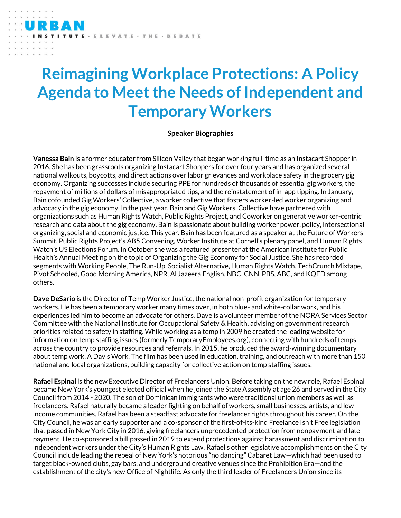## **Reimagining Workplace Protections: A Policy Agenda to Meet the Needs of Independent and Temporary Workers**

LEVATE · THE · DEBATE

## **Speaker Biographies**

**Vanessa Bain** is a former educator from Silicon Valley that began working full-time as an Instacart Shopper in 2016. She has been grassroots organizing Instacart Shoppers for over four years and has organized several national walkouts, boycotts, and direct actions over labor grievances and workplace safety in the grocery gig economy. Organizing successes include securing PPE for hundreds of thousands of essential gig workers, the repayment of millions of dollars of misappropriated tips, and the reinstatement of in-app tipping. In January, Bain cofounded Gig Workers' Collective, a worker collective that fosters worker-led worker organizing and advocacy in the gig economy. In the past year, Bain and Gig Workers' Collective have partnered with organizations such as Human Rights Watch, Public Rights Project, and Coworker on generative worker-centric research and data about the gig economy. Bain is passionate about building worker power, policy, intersectional organizing, social and economic justice. This year, Bain has been featured as a speaker at the Future of Workers Summit, Public Rights Project's AB5 Convening, Worker Institute at Cornell's plenary panel, and Human Rights Watch's US Elections Forum. In October she was a featured presenter at the American Institute for Public Health's Annual Meeting on the topic of Organizing the Gig Economy for Social Justice. She has recorded segments with Working People, The Run-Up, Socialist Alternative, Human Rights Watch, TechCrunch Mixtape, Pivot Schooled, Good Morning America, NPR, Al Jazeera English, NBC, CNN, PBS, ABC, and KQED among others.

**Dave DeSario** is the Director of Temp Worker Justice, the national non-profit organization for temporary workers. He has been a temporary worker many times over, in both blue- and white-collar work, and his experiences led him to become an advocate for others. Dave is a volunteer member of the NORA Services Sector Committee with the National Institute for Occupational Safety & Health, advising on government research priorities related to safety in staffing. While working as a temp in 2009 he created the leading website for information on temp staffing issues (formerly TemporaryEmployees.org), connecting with hundreds of temps across the country to provide resources and referrals. In 2015, he produced the award-winning documentary about temp work, A Day's Work. The film has been used in education, training, and outreach with more than 150 national and local organizations, building capacity for collective action on temp staffing issues.

**Rafael Espinal** is the new Executive Director of Freelancers Union. Before taking on the new role, Rafael Espinal became New York's youngest elected official when he joined the State Assembly at age 26 and served in the City Council from 2014 - 2020. The son of Dominican immigrants who were traditional union members as well as freelancers, Rafael naturally became a leader fighting on behalf of workers, small businesses, artists, and lowincome communities. Rafael has been a steadfast advocate for freelancer rights throughout his career. On the City Council, he was an early supporter and a co-sponsor of the first-of-its-kind Freelance Isn't Free legislation that passed in New York City in 2016, giving freelancers unprecedented protection from nonpayment and late payment. He co-sponsored a bill passed in 2019 to extend protections against harassment and discrimination to independent workers under the City's Human Rights Law. Rafael's other legislative accomplishments on the City Council include leading the repeal of New York's notorious "no dancing" Cabaret Law—which had been used to target black-owned clubs, gay bars, and underground creative venues since the Prohibition Era—and the establishment of the city's new Office of Nightlife. As only the third leader of Freelancers Union since its